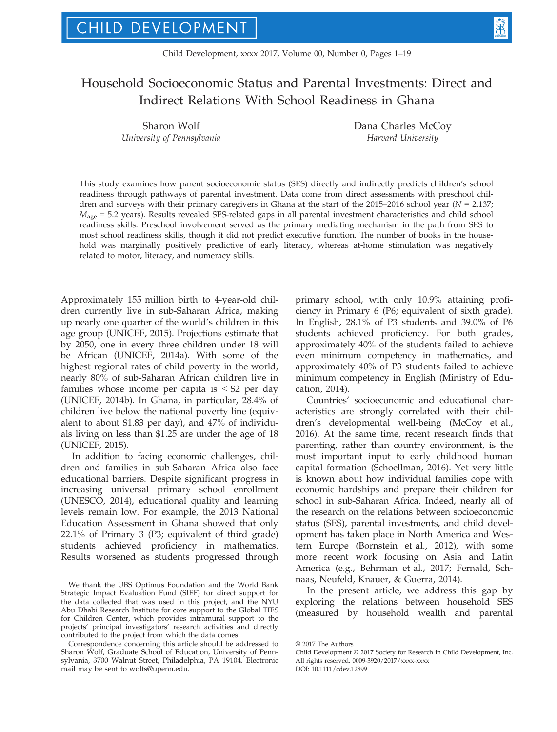# Household Socioeconomic Status and Parental Investments: Direct and Indirect Relations With School Readiness in Ghana

Sharon Wolf University of Pennsylvania Dana Charles McCoy Harvard University

This study examines how parent socioeconomic status (SES) directly and indirectly predicts children's school readiness through pathways of parental investment. Data come from direct assessments with preschool children and surveys with their primary caregivers in Ghana at the start of the 2015–2016 school year ( $N = 2,137$ ;  $M_{\text{age}}$  = 5.2 years). Results revealed SES-related gaps in all parental investment characteristics and child school readiness skills. Preschool involvement served as the primary mediating mechanism in the path from SES to most school readiness skills, though it did not predict executive function. The number of books in the household was marginally positively predictive of early literacy, whereas at-home stimulation was negatively related to motor, literacy, and numeracy skills.

Approximately 155 million birth to 4-year-old children currently live in sub-Saharan Africa, making up nearly one quarter of the world's children in this age group (UNICEF, 2015). Projections estimate that by 2050, one in every three children under 18 will be African (UNICEF, 2014a). With some of the highest regional rates of child poverty in the world, nearly 80% of sub-Saharan African children live in families whose income per capita is  $\leq$  \$2 per day (UNICEF, 2014b). In Ghana, in particular, 28.4% of children live below the national poverty line (equivalent to about \$1.83 per day), and 47% of individuals living on less than \$1.25 are under the age of 18 (UNICEF, 2015).

In addition to facing economic challenges, children and families in sub-Saharan Africa also face educational barriers. Despite significant progress in increasing universal primary school enrollment (UNESCO, 2014), educational quality and learning levels remain low. For example, the 2013 National Education Assessment in Ghana showed that only 22.1% of Primary 3 (P3; equivalent of third grade) students achieved proficiency in mathematics. Results worsened as students progressed through primary school, with only 10.9% attaining proficiency in Primary 6 (P6; equivalent of sixth grade). In English, 28.1% of P3 students and 39.0% of P6 students achieved proficiency. For both grades, approximately 40% of the students failed to achieve even minimum competency in mathematics, and approximately 40% of P3 students failed to achieve minimum competency in English (Ministry of Education, 2014).

Countries' socioeconomic and educational characteristics are strongly correlated with their children's developmental well-being (McCoy et al., 2016). At the same time, recent research finds that parenting, rather than country environment, is the most important input to early childhood human capital formation (Schoellman, 2016). Yet very little is known about how individual families cope with economic hardships and prepare their children for school in sub-Saharan Africa. Indeed, nearly all of the research on the relations between socioeconomic status (SES), parental investments, and child development has taken place in North America and Western Europe (Bornstein et al., 2012), with some more recent work focusing on Asia and Latin America (e.g., Behrman et al., 2017; Fernald, Schnaas, Neufeld, Knauer, & Guerra, 2014).

In the present article, we address this gap by exploring the relations between household SES (measured by household wealth and parental

Child Development © 2017 Society for Research in Child Development, Inc. All rights reserved. 0009-3920/2017/xxxx-xxxx DOI: 10.1111/cdev.12899

We thank the UBS Optimus Foundation and the World Bank Strategic Impact Evaluation Fund (SIEF) for direct support for the data collected that was used in this project, and the NYU Abu Dhabi Research Institute for core support to the Global TIES for Children Center, which provides intramural support to the projects' principal investigators' research activities and directly contributed to the project from which the data comes.

Correspondence concerning this article should be addressed to Sharon Wolf, Graduate School of Education, University of Pennsylvania, 3700 Walnut Street, Philadelphia, PA 19104. Electronic mail may be sent to wolfs@upenn.edu.

<sup>©</sup> 2017 The Authors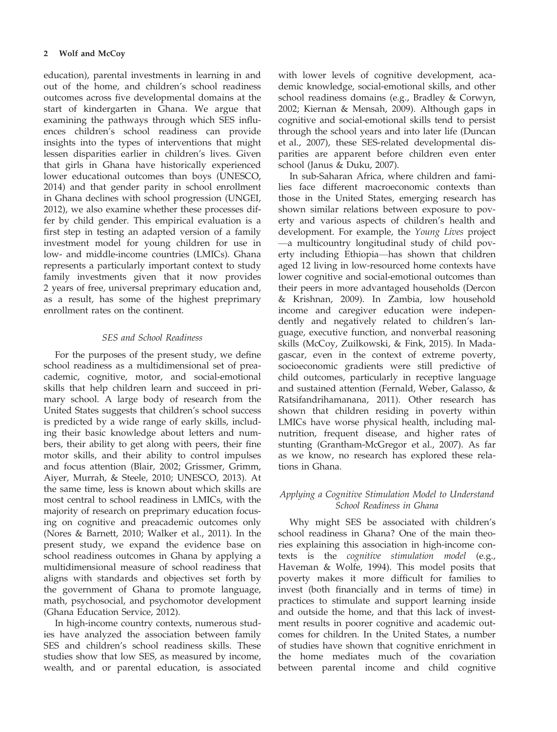education), parental investments in learning in and out of the home, and children's school readiness outcomes across five developmental domains at the start of kindergarten in Ghana. We argue that examining the pathways through which SES influences children's school readiness can provide insights into the types of interventions that might lessen disparities earlier in children's lives. Given that girls in Ghana have historically experienced lower educational outcomes than boys (UNESCO, 2014) and that gender parity in school enrollment in Ghana declines with school progression (UNGEI, 2012), we also examine whether these processes differ by child gender. This empirical evaluation is a first step in testing an adapted version of a family investment model for young children for use in low- and middle-income countries (LMICs). Ghana represents a particularly important context to study family investments given that it now provides 2 years of free, universal preprimary education and, as a result, has some of the highest preprimary enrollment rates on the continent.

# SES and School Readiness

For the purposes of the present study, we define school readiness as a multidimensional set of preacademic, cognitive, motor, and social-emotional skills that help children learn and succeed in primary school. A large body of research from the United States suggests that children's school success is predicted by a wide range of early skills, including their basic knowledge about letters and numbers, their ability to get along with peers, their fine motor skills, and their ability to control impulses and focus attention (Blair, 2002; Grissmer, Grimm, Aiyer, Murrah, & Steele, 2010; UNESCO, 2013). At the same time, less is known about which skills are most central to school readiness in LMICs, with the majority of research on preprimary education focusing on cognitive and preacademic outcomes only (Nores & Barnett, 2010; Walker et al., 2011). In the present study, we expand the evidence base on school readiness outcomes in Ghana by applying a multidimensional measure of school readiness that aligns with standards and objectives set forth by the government of Ghana to promote language, math, psychosocial, and psychomotor development (Ghana Education Service, 2012).

In high-income country contexts, numerous studies have analyzed the association between family SES and children's school readiness skills. These studies show that low SES, as measured by income, wealth, and or parental education, is associated

with lower levels of cognitive development, academic knowledge, social-emotional skills, and other school readiness domains (e.g., Bradley & Corwyn, 2002; Kiernan & Mensah, 2009). Although gaps in cognitive and social-emotional skills tend to persist through the school years and into later life (Duncan et al., 2007), these SES-related developmental disparities are apparent before children even enter school (Janus & Duku, 2007).

In sub-Saharan Africa, where children and families face different macroeconomic contexts than those in the United States, emerging research has shown similar relations between exposure to poverty and various aspects of children's health and development. For example, the Young Lives project —a multicountry longitudinal study of child poverty including Ethiopia—has shown that children aged 12 living in low-resourced home contexts have lower cognitive and social-emotional outcomes than their peers in more advantaged households (Dercon & Krishnan, 2009). In Zambia, low household income and caregiver education were independently and negatively related to children's language, executive function, and nonverbal reasoning skills (McCoy, Zuilkowski, & Fink, 2015). In Madagascar, even in the context of extreme poverty, socioeconomic gradients were still predictive of child outcomes, particularly in receptive language and sustained attention (Fernald, Weber, Galasso, & Ratsifandrihamanana, 2011). Other research has shown that children residing in poverty within LMICs have worse physical health, including malnutrition, frequent disease, and higher rates of stunting (Grantham-McGregor et al., 2007). As far as we know, no research has explored these relations in Ghana.

# Applying a Cognitive Stimulation Model to Understand School Readiness in Ghana

Why might SES be associated with children's school readiness in Ghana? One of the main theories explaining this association in high-income contexts is the cognitive stimulation model (e.g., Haveman & Wolfe, 1994). This model posits that poverty makes it more difficult for families to invest (both financially and in terms of time) in practices to stimulate and support learning inside and outside the home, and that this lack of investment results in poorer cognitive and academic outcomes for children. In the United States, a number of studies have shown that cognitive enrichment in the home mediates much of the covariation between parental income and child cognitive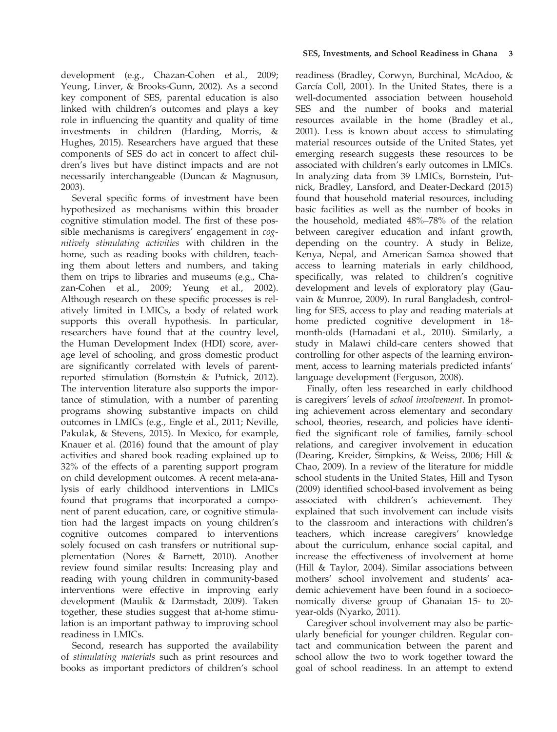development (e.g., Chazan-Cohen et al., 2009; Yeung, Linver, & Brooks-Gunn, 2002). As a second key component of SES, parental education is also linked with children's outcomes and plays a key role in influencing the quantity and quality of time investments in children (Harding, Morris, & Hughes, 2015). Researchers have argued that these components of SES do act in concert to affect children's lives but have distinct impacts and are not necessarily interchangeable (Duncan & Magnuson, 2003).

Several specific forms of investment have been hypothesized as mechanisms within this broader cognitive stimulation model. The first of these possible mechanisms is caregivers' engagement in cognitively stimulating activities with children in the home, such as reading books with children, teaching them about letters and numbers, and taking them on trips to libraries and museums (e.g., Chazan-Cohen et al., 2009; Yeung et al., 2002). Although research on these specific processes is relatively limited in LMICs, a body of related work supports this overall hypothesis. In particular, researchers have found that at the country level, the Human Development Index (HDI) score, average level of schooling, and gross domestic product are significantly correlated with levels of parentreported stimulation (Bornstein & Putnick, 2012). The intervention literature also supports the importance of stimulation, with a number of parenting programs showing substantive impacts on child outcomes in LMICs (e.g., Engle et al., 2011; Neville, Pakulak, & Stevens, 2015). In Mexico, for example, Knauer et al. (2016) found that the amount of play activities and shared book reading explained up to 32% of the effects of a parenting support program on child development outcomes. A recent meta-analysis of early childhood interventions in LMICs found that programs that incorporated a component of parent education, care, or cognitive stimulation had the largest impacts on young children's cognitive outcomes compared to interventions solely focused on cash transfers or nutritional supplementation (Nores & Barnett, 2010). Another review found similar results: Increasing play and reading with young children in community-based interventions were effective in improving early development (Maulik & Darmstadt, 2009). Taken together, these studies suggest that at-home stimulation is an important pathway to improving school readiness in LMICs.

Second, research has supported the availability of stimulating materials such as print resources and books as important predictors of children's school

readiness (Bradley, Corwyn, Burchinal, McAdoo, & García Coll, 2001). In the United States, there is a well-documented association between household SES and the number of books and material resources available in the home (Bradley et al., 2001). Less is known about access to stimulating material resources outside of the United States, yet emerging research suggests these resources to be associated with children's early outcomes in LMICs. In analyzing data from 39 LMICs, Bornstein, Putnick, Bradley, Lansford, and Deater-Deckard (2015) found that household material resources, including basic facilities as well as the number of books in the household, mediated 48%–78% of the relation between caregiver education and infant growth, depending on the country. A study in Belize, Kenya, Nepal, and American Samoa showed that access to learning materials in early childhood, specifically, was related to children's cognitive development and levels of exploratory play (Gauvain & Munroe, 2009). In rural Bangladesh, controlling for SES, access to play and reading materials at home predicted cognitive development in 18 month-olds (Hamadani et al., 2010). Similarly, a study in Malawi child-care centers showed that controlling for other aspects of the learning environment, access to learning materials predicted infants' language development (Ferguson, 2008).

Finally, often less researched in early childhood is caregivers' levels of school involvement. In promoting achievement across elementary and secondary school, theories, research, and policies have identified the significant role of families, family–school relations, and caregiver involvement in education (Dearing, Kreider, Simpkins, & Weiss, 2006; Hill & Chao, 2009). In a review of the literature for middle school students in the United States, Hill and Tyson (2009) identified school-based involvement as being associated with children's achievement. They explained that such involvement can include visits to the classroom and interactions with children's teachers, which increase caregivers' knowledge about the curriculum, enhance social capital, and increase the effectiveness of involvement at home (Hill & Taylor, 2004). Similar associations between mothers' school involvement and students' academic achievement have been found in a socioeconomically diverse group of Ghanaian 15- to 20 year-olds (Nyarko, 2011).

Caregiver school involvement may also be particularly beneficial for younger children. Regular contact and communication between the parent and school allow the two to work together toward the goal of school readiness. In an attempt to extend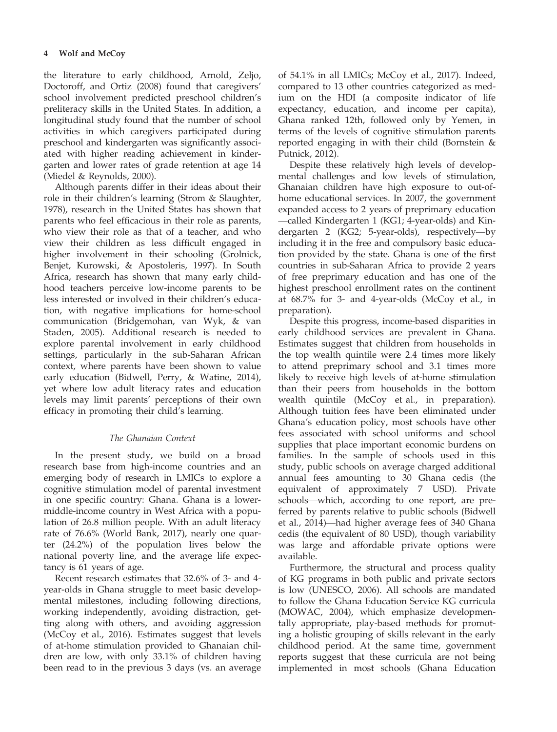the literature to early childhood, Arnold, Zeljo, Doctoroff, and Ortiz (2008) found that caregivers' school involvement predicted preschool children's preliteracy skills in the United States. In addition, a longitudinal study found that the number of school activities in which caregivers participated during preschool and kindergarten was significantly associated with higher reading achievement in kindergarten and lower rates of grade retention at age 14 (Miedel & Reynolds, 2000).

Although parents differ in their ideas about their role in their children's learning (Strom & Slaughter, 1978), research in the United States has shown that parents who feel efficacious in their role as parents, who view their role as that of a teacher, and who view their children as less difficult engaged in higher involvement in their schooling (Grolnick, Benjet, Kurowski, & Apostoleris, 1997). In South Africa, research has shown that many early childhood teachers perceive low-income parents to be less interested or involved in their children's education, with negative implications for home-school communication (Bridgemohan, van Wyk, & van Staden, 2005). Additional research is needed to explore parental involvement in early childhood settings, particularly in the sub-Saharan African context, where parents have been shown to value early education (Bidwell, Perry, & Watine, 2014), yet where low adult literacy rates and education levels may limit parents' perceptions of their own efficacy in promoting their child's learning.

# The Ghanaian Context

In the present study, we build on a broad research base from high-income countries and an emerging body of research in LMICs to explore a cognitive stimulation model of parental investment in one specific country: Ghana. Ghana is a lowermiddle-income country in West Africa with a population of 26.8 million people. With an adult literacy rate of 76.6% (World Bank, 2017), nearly one quarter (24.2%) of the population lives below the national poverty line, and the average life expectancy is 61 years of age.

Recent research estimates that 32.6% of 3- and 4 year-olds in Ghana struggle to meet basic developmental milestones, including following directions, working independently, avoiding distraction, getting along with others, and avoiding aggression (McCoy et al., 2016). Estimates suggest that levels of at-home stimulation provided to Ghanaian children are low, with only 33.1% of children having been read to in the previous 3 days (vs. an average of 54.1% in all LMICs; McCoy et al., 2017). Indeed, compared to 13 other countries categorized as medium on the HDI (a composite indicator of life expectancy, education, and income per capita), Ghana ranked 12th, followed only by Yemen, in terms of the levels of cognitive stimulation parents reported engaging in with their child (Bornstein & Putnick, 2012).

Despite these relatively high levels of developmental challenges and low levels of stimulation, Ghanaian children have high exposure to out-ofhome educational services. In 2007, the government expanded access to 2 years of preprimary education —called Kindergarten 1 (KG1; 4-year-olds) and Kindergarten 2 (KG2; 5-year-olds), respectively—by including it in the free and compulsory basic education provided by the state. Ghana is one of the first countries in sub-Saharan Africa to provide 2 years of free preprimary education and has one of the highest preschool enrollment rates on the continent at 68.7% for 3- and 4-year-olds (McCoy et al., in preparation).

Despite this progress, income-based disparities in early childhood services are prevalent in Ghana. Estimates suggest that children from households in the top wealth quintile were 2.4 times more likely to attend preprimary school and 3.1 times more likely to receive high levels of at-home stimulation than their peers from households in the bottom wealth quintile (McCoy et al., in preparation). Although tuition fees have been eliminated under Ghana's education policy, most schools have other fees associated with school uniforms and school supplies that place important economic burdens on families. In the sample of schools used in this study, public schools on average charged additional annual fees amounting to 30 Ghana cedis (the equivalent of approximately 7 USD). Private schools—which, according to one report, are preferred by parents relative to public schools (Bidwell et al., 2014)—had higher average fees of 340 Ghana cedis (the equivalent of 80 USD), though variability was large and affordable private options were available.

Furthermore, the structural and process quality of KG programs in both public and private sectors is low (UNESCO, 2006). All schools are mandated to follow the Ghana Education Service KG curricula (MOWAC, 2004), which emphasize developmentally appropriate, play-based methods for promoting a holistic grouping of skills relevant in the early childhood period. At the same time, government reports suggest that these curricula are not being implemented in most schools (Ghana Education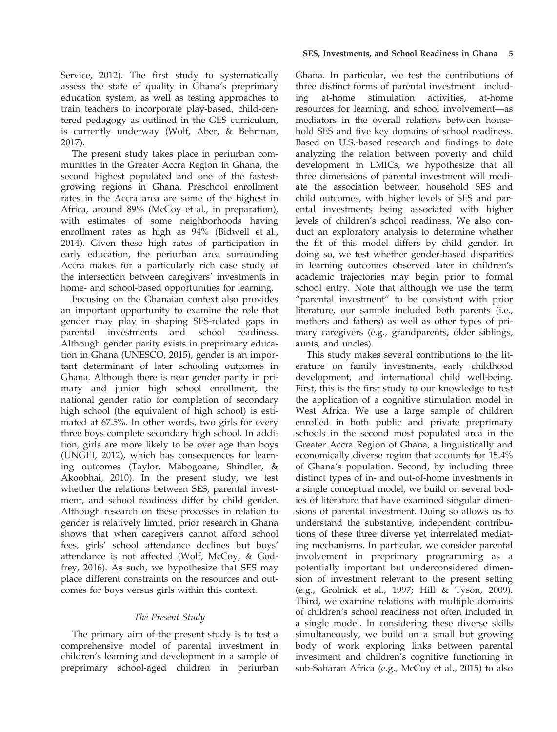Service, 2012). The first study to systematically assess the state of quality in Ghana's preprimary education system, as well as testing approaches to train teachers to incorporate play-based, child-centered pedagogy as outlined in the GES curriculum, is currently underway (Wolf, Aber, & Behrman, 2017).

The present study takes place in periurban communities in the Greater Accra Region in Ghana, the second highest populated and one of the fastestgrowing regions in Ghana. Preschool enrollment rates in the Accra area are some of the highest in Africa, around 89% (McCoy et al., in preparation), with estimates of some neighborhoods having enrollment rates as high as 94% (Bidwell et al., 2014). Given these high rates of participation in early education, the periurban area surrounding Accra makes for a particularly rich case study of the intersection between caregivers' investments in home- and school-based opportunities for learning.

Focusing on the Ghanaian context also provides an important opportunity to examine the role that gender may play in shaping SES-related gaps in parental investments and school readiness. Although gender parity exists in preprimary education in Ghana (UNESCO, 2015), gender is an important determinant of later schooling outcomes in Ghana. Although there is near gender parity in primary and junior high school enrollment, the national gender ratio for completion of secondary high school (the equivalent of high school) is estimated at 67.5%. In other words, two girls for every three boys complete secondary high school. In addition, girls are more likely to be over age than boys (UNGEI, 2012), which has consequences for learning outcomes (Taylor, Mabogoane, Shindler, & Akoobhai, 2010). In the present study, we test whether the relations between SES, parental investment, and school readiness differ by child gender. Although research on these processes in relation to gender is relatively limited, prior research in Ghana shows that when caregivers cannot afford school fees, girls' school attendance declines but boys' attendance is not affected (Wolf, McCoy, & Godfrey, 2016). As such, we hypothesize that SES may place different constraints on the resources and outcomes for boys versus girls within this context.

# The Present Study

The primary aim of the present study is to test a comprehensive model of parental investment in children's learning and development in a sample of preprimary school-aged children in periurban

Ghana. In particular, we test the contributions of three distinct forms of parental investment—including at-home stimulation activities, at-home resources for learning, and school involvement—as mediators in the overall relations between household SES and five key domains of school readiness. Based on U.S.-based research and findings to date analyzing the relation between poverty and child development in LMICs, we hypothesize that all three dimensions of parental investment will mediate the association between household SES and child outcomes, with higher levels of SES and parental investments being associated with higher levels of children's school readiness. We also conduct an exploratory analysis to determine whether the fit of this model differs by child gender. In doing so, we test whether gender-based disparities in learning outcomes observed later in children's academic trajectories may begin prior to formal school entry. Note that although we use the term "parental investment" to be consistent with prior literature, our sample included both parents (i.e., mothers and fathers) as well as other types of primary caregivers (e.g., grandparents, older siblings, aunts, and uncles).

This study makes several contributions to the literature on family investments, early childhood development, and international child well-being. First, this is the first study to our knowledge to test the application of a cognitive stimulation model in West Africa. We use a large sample of children enrolled in both public and private preprimary schools in the second most populated area in the Greater Accra Region of Ghana, a linguistically and economically diverse region that accounts for 15.4% of Ghana's population. Second, by including three distinct types of in- and out-of-home investments in a single conceptual model, we build on several bodies of literature that have examined singular dimensions of parental investment. Doing so allows us to understand the substantive, independent contributions of these three diverse yet interrelated mediating mechanisms. In particular, we consider parental involvement in preprimary programming as a potentially important but underconsidered dimension of investment relevant to the present setting (e.g., Grolnick et al., 1997; Hill & Tyson, 2009). Third, we examine relations with multiple domains of children's school readiness not often included in a single model. In considering these diverse skills simultaneously, we build on a small but growing body of work exploring links between parental investment and children's cognitive functioning in sub-Saharan Africa (e.g., McCoy et al., 2015) to also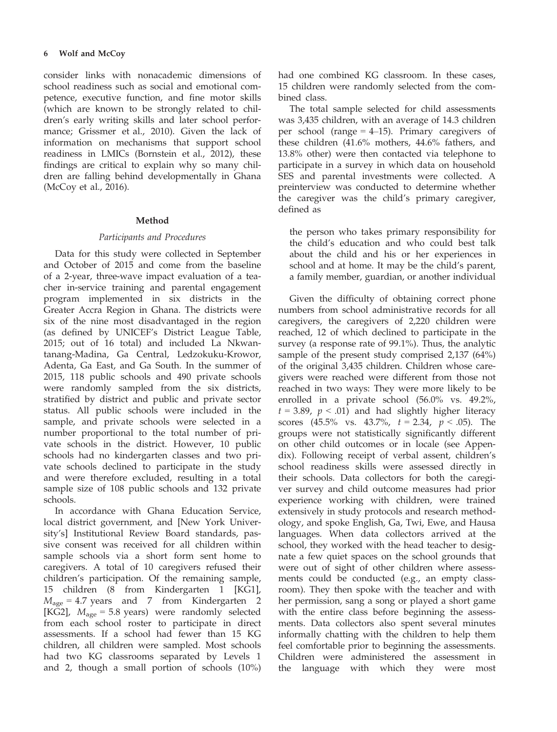## 6 Wolf and McCoy

consider links with nonacademic dimensions of school readiness such as social and emotional competence, executive function, and fine motor skills (which are known to be strongly related to children's early writing skills and later school performance; Grissmer et al., 2010). Given the lack of information on mechanisms that support school readiness in LMICs (Bornstein et al., 2012), these findings are critical to explain why so many children are falling behind developmentally in Ghana (McCoy et al., 2016).

# Method

# Participants and Procedures

Data for this study were collected in September and October of 2015 and come from the baseline of a 2-year, three-wave impact evaluation of a teacher in-service training and parental engagement program implemented in six districts in the Greater Accra Region in Ghana. The districts were six of the nine most disadvantaged in the region (as defined by UNICEF's District League Table, 2015; out of 16 total) and included La Nkwantanang-Madina, Ga Central, Ledzokuku-Krowor, Adenta, Ga East, and Ga South. In the summer of 2015, 118 public schools and 490 private schools were randomly sampled from the six districts, stratified by district and public and private sector status. All public schools were included in the sample, and private schools were selected in a number proportional to the total number of private schools in the district. However, 10 public schools had no kindergarten classes and two private schools declined to participate in the study and were therefore excluded, resulting in a total sample size of 108 public schools and 132 private schools.

In accordance with Ghana Education Service, local district government, and [New York University's] Institutional Review Board standards, passive consent was received for all children within sample schools via a short form sent home to caregivers. A total of 10 caregivers refused their children's participation. Of the remaining sample, 15 children (8 from Kindergarten 1 [KG1],  $M_{\text{age}} = 4.7$  years and 7 from Kindergarten 2 [KG2],  $M_{\text{age}} = 5.8$  years) were randomly selected from each school roster to participate in direct assessments. If a school had fewer than 15 KG children, all children were sampled. Most schools had two KG classrooms separated by Levels 1 and 2, though a small portion of schools (10%)

had one combined KG classroom. In these cases, 15 children were randomly selected from the combined class.

The total sample selected for child assessments was 3,435 children, with an average of 14.3 children per school (range = 4–15). Primary caregivers of these children (41.6% mothers, 44.6% fathers, and 13.8% other) were then contacted via telephone to participate in a survey in which data on household SES and parental investments were collected. A preinterview was conducted to determine whether the caregiver was the child's primary caregiver, defined as

the person who takes primary responsibility for the child's education and who could best talk about the child and his or her experiences in school and at home. It may be the child's parent, a family member, guardian, or another individual

Given the difficulty of obtaining correct phone numbers from school administrative records for all caregivers, the caregivers of 2,220 children were reached, 12 of which declined to participate in the survey (a response rate of 99.1%). Thus, the analytic sample of the present study comprised 2,137 (64%) of the original 3,435 children. Children whose caregivers were reached were different from those not reached in two ways: They were more likely to be enrolled in a private school (56.0% vs. 49.2%,  $t = 3.89$ ,  $p < .01$ ) and had slightly higher literacy scores (45.5% vs. 43.7%,  $t = 2.34$ ,  $p < .05$ ). The groups were not statistically significantly different on other child outcomes or in locale (see Appendix). Following receipt of verbal assent, children's school readiness skills were assessed directly in their schools. Data collectors for both the caregiver survey and child outcome measures had prior experience working with children, were trained extensively in study protocols and research methodology, and spoke English, Ga, Twi, Ewe, and Hausa languages. When data collectors arrived at the school, they worked with the head teacher to designate a few quiet spaces on the school grounds that were out of sight of other children where assessments could be conducted (e.g., an empty classroom). They then spoke with the teacher and with her permission, sang a song or played a short game with the entire class before beginning the assessments. Data collectors also spent several minutes informally chatting with the children to help them feel comfortable prior to beginning the assessments. Children were administered the assessment in the language with which they were most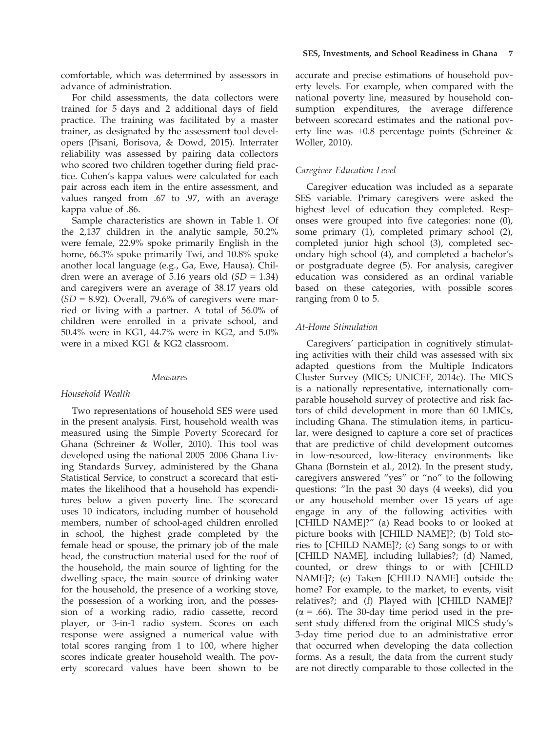comfortable, which was determined by assessors in advance of administration.

For child assessments, the data collectors were trained for 5 days and 2 additional days of field practice. The training was facilitated by a master trainer, as designated by the assessment tool developers (Pisani, Borisova, & Dowd, 2015). Interrater reliability was assessed by pairing data collectors who scored two children together during field practice. Cohen's kappa values were calculated for each pair across each item in the entire assessment, and values ranged from .67 to .97, with an average kappa value of .86.

Sample characteristics are shown in Table 1. Of the 2,137 children in the analytic sample, 50.2% were female, 22.9% spoke primarily English in the home, 66.3% spoke primarily Twi, and 10.8% spoke another local language (e.g., Ga, Ewe, Hausa). Children were an average of 5.16 years old  $(SD = 1.34)$ and caregivers were an average of 38.17 years old  $(SD = 8.92)$ . Overall, 79.6% of caregivers were married or living with a partner. A total of 56.0% of children were enrolled in a private school, and 50.4% were in KG1, 44.7% were in KG2, and 5.0% were in a mixed KG1 & KG2 classroom.

#### Measures

## Household Wealth

Two representations of household SES were used in the present analysis. First, household wealth was measured using the Simple Poverty Scorecard for Ghana (Schreiner & Woller, 2010). This tool was developed using the national 2005–2006 Ghana Living Standards Survey, administered by the Ghana Statistical Service, to construct a scorecard that estimates the likelihood that a household has expenditures below a given poverty line. The scorecard uses 10 indicators, including number of household members, number of school-aged children enrolled in school, the highest grade completed by the female head or spouse, the primary job of the male head, the construction material used for the roof of the household, the main source of lighting for the dwelling space, the main source of drinking water for the household, the presence of a working stove, the possession of a working iron, and the possession of a working radio, radio cassette, record player, or 3-in-1 radio system. Scores on each response were assigned a numerical value with total scores ranging from 1 to 100, where higher scores indicate greater household wealth. The poverty scorecard values have been shown to be

accurate and precise estimations of household poverty levels. For example, when compared with the national poverty line, measured by household consumption expenditures, the average difference between scorecard estimates and the national poverty line was +0.8 percentage points (Schreiner & Woller, 2010).

## Caregiver Education Level

Caregiver education was included as a separate SES variable. Primary caregivers were asked the highest level of education they completed. Responses were grouped into five categories: none (0), some primary (1), completed primary school (2), completed junior high school (3), completed secondary high school (4), and completed a bachelor's or postgraduate degree (5). For analysis, caregiver education was considered as an ordinal variable based on these categories, with possible scores ranging from 0 to 5.

## At-Home Stimulation

Caregivers' participation in cognitively stimulating activities with their child was assessed with six adapted questions from the Multiple Indicators Cluster Survey (MICS; UNICEF, 2014c). The MICS is a nationally representative, internationally comparable household survey of protective and risk factors of child development in more than 60 LMICs, including Ghana. The stimulation items, in particular, were designed to capture a core set of practices that are predictive of child development outcomes in low-resourced, low-literacy environments like Ghana (Bornstein et al., 2012). In the present study, caregivers answered "yes" or "no" to the following questions: "In the past 30 days (4 weeks), did you or any household member over 15 years of age engage in any of the following activities with [CHILD NAME]?" (a) Read books to or looked at picture books with [CHILD NAME]?; (b) Told stories to [CHILD NAME]?; (c) Sang songs to or with [CHILD NAME], including lullabies?; (d) Named, counted, or drew things to or with [CHILD NAME]?; (e) Taken [CHILD NAME] outside the home? For example, to the market, to events, visit relatives?; and (f) Played with [CHILD NAME]?  $(\alpha = .66)$ . The 30-day time period used in the present study differed from the original MICS study's 3-day time period due to an administrative error that occurred when developing the data collection forms. As a result, the data from the current study are not directly comparable to those collected in the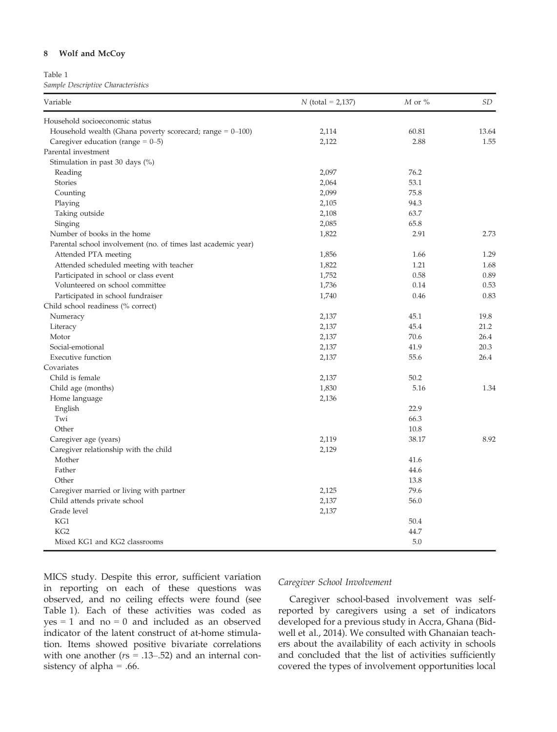## 8 Wolf and McCoy

Table 1

Sample Descriptive Characteristics

| Variable                                                       | $N$ (total = 2,137) | $M$ or $\%$ | <b>SD</b> |
|----------------------------------------------------------------|---------------------|-------------|-----------|
| Household socioeconomic status                                 |                     |             |           |
| Household wealth (Ghana poverty scorecard; range $= 0 - 100$ ) | 2,114               | 60.81       | 13.64     |
| Caregiver education (range $= 0-5$ )                           | 2,122               | 2.88        | 1.55      |
| Parental investment                                            |                     |             |           |
| Stimulation in past 30 days $(\%)$                             |                     |             |           |
| Reading                                                        | 2,097               | 76.2        |           |
| Stories                                                        | 2,064               | 53.1        |           |
| Counting                                                       | 2,099               | 75.8        |           |
| Playing                                                        | 2,105               | 94.3        |           |
| Taking outside                                                 | 2,108               | 63.7        |           |
| Singing                                                        | 2,085               | 65.8        |           |
| Number of books in the home                                    | 1,822               | 2.91        | 2.73      |
| Parental school involvement (no. of times last academic year)  |                     |             |           |
| Attended PTA meeting                                           | 1,856               | 1.66        | 1.29      |
| Attended scheduled meeting with teacher                        | 1,822               | 1.21        | 1.68      |
| Participated in school or class event                          | 1,752               | 0.58        | 0.89      |
| Volunteered on school committee                                | 1,736               | 0.14        | 0.53      |
| Participated in school fundraiser                              | 1,740               | 0.46        | 0.83      |
| Child school readiness (% correct)                             |                     |             |           |
| Numeracy                                                       | 2,137               | 45.1        | 19.8      |
| Literacy                                                       | 2,137               | 45.4        | 21.2      |
| Motor                                                          | 2,137               | 70.6        | 26.4      |
| Social-emotional                                               | 2,137               | 41.9        | 20.3      |
| <b>Executive function</b>                                      | 2,137               | 55.6        | 26.4      |
| Covariates                                                     |                     |             |           |
| Child is female                                                | 2,137               | 50.2        |           |
| Child age (months)                                             | 1,830               | 5.16        | 1.34      |
| Home language                                                  | 2,136               |             |           |
| English                                                        |                     | 22.9        |           |
| Twi                                                            |                     | 66.3        |           |
| Other                                                          |                     | 10.8        |           |
| Caregiver age (years)                                          | 2,119               | 38.17       | 8.92      |
| Caregiver relationship with the child                          | 2,129               |             |           |
| Mother                                                         |                     | 41.6        |           |
| Father                                                         |                     | 44.6        |           |
| Other                                                          |                     | 13.8        |           |
| Caregiver married or living with partner                       | 2,125               | 79.6        |           |
| Child attends private school                                   | 2,137               | 56.0        |           |
| Grade level                                                    | 2,137               |             |           |
| KG1                                                            |                     | 50.4        |           |
| KG <sub>2</sub>                                                |                     | 44.7        |           |
| Mixed KG1 and KG2 classrooms                                   |                     | 5.0         |           |

MICS study. Despite this error, sufficient variation in reporting on each of these questions was observed, and no ceiling effects were found (see Table 1). Each of these activities was coded as  $yes = 1$  and  $no = 0$  and included as an observed indicator of the latent construct of at-home stimulation. Items showed positive bivariate correlations with one another ( $rs = .13-.52$ ) and an internal consistency of alpha = .66.

## Caregiver School Involvement

Caregiver school-based involvement was selfreported by caregivers using a set of indicators developed for a previous study in Accra, Ghana (Bidwell et al., 2014). We consulted with Ghanaian teachers about the availability of each activity in schools and concluded that the list of activities sufficiently covered the types of involvement opportunities local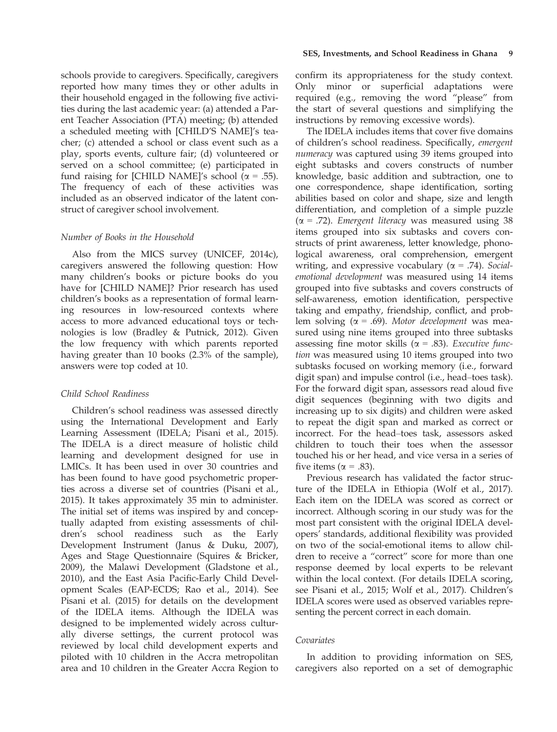schools provide to caregivers. Specifically, caregivers reported how many times they or other adults in their household engaged in the following five activities during the last academic year: (a) attended a Parent Teacher Association (PTA) meeting; (b) attended a scheduled meeting with [CHILD'S NAME]'s teacher; (c) attended a school or class event such as a play, sports events, culture fair; (d) volunteered or served on a school committee; (e) participated in fund raising for [CHILD NAME]'s school  $\bar{(\alpha} = .55)$ . The frequency of each of these activities was included as an observed indicator of the latent construct of caregiver school involvement.

## Number of Books in the Household

Also from the MICS survey (UNICEF, 2014c), caregivers answered the following question: How many children's books or picture books do you have for [CHILD NAME]? Prior research has used children's books as a representation of formal learning resources in low-resourced contexts where access to more advanced educational toys or technologies is low (Bradley & Putnick, 2012). Given the low frequency with which parents reported having greater than 10 books (2.3% of the sample), answers were top coded at 10.

## Child School Readiness

Children's school readiness was assessed directly using the International Development and Early Learning Assessment (IDELA; Pisani et al., 2015). The IDELA is a direct measure of holistic child learning and development designed for use in LMICs. It has been used in over 30 countries and has been found to have good psychometric properties across a diverse set of countries (Pisani et al., 2015). It takes approximately 35 min to administer. The initial set of items was inspired by and conceptually adapted from existing assessments of children's school readiness such as the Early Development Instrument (Janus & Duku, 2007), Ages and Stage Questionnaire (Squires & Bricker, 2009), the Malawi Development (Gladstone et al., 2010), and the East Asia Pacific-Early Child Development Scales (EAP-ECDS; Rao et al., 2014). See Pisani et al. (2015) for details on the development of the IDELA items. Although the IDELA was designed to be implemented widely across culturally diverse settings, the current protocol was reviewed by local child development experts and piloted with 10 children in the Accra metropolitan area and 10 children in the Greater Accra Region to

confirm its appropriateness for the study context. Only minor or superficial adaptations were required (e.g., removing the word "please" from the start of several questions and simplifying the instructions by removing excessive words).

The IDELA includes items that cover five domains of children's school readiness. Specifically, emergent numeracy was captured using 39 items grouped into eight subtasks and covers constructs of number knowledge, basic addition and subtraction, one to one correspondence, shape identification, sorting abilities based on color and shape, size and length differentiation, and completion of a simple puzzle  $(\alpha = .72)$ . Emergent literacy was measured using 38 items grouped into six subtasks and covers constructs of print awareness, letter knowledge, phonological awareness, oral comprehension, emergent writing, and expressive vocabulary ( $\alpha$  = .74). Socialemotional development was measured using 14 items grouped into five subtasks and covers constructs of self-awareness, emotion identification, perspective taking and empathy, friendship, conflict, and problem solving ( $\alpha = .69$ ). Motor development was measured using nine items grouped into three subtasks assessing fine motor skills ( $\alpha$  = .83). Executive function was measured using 10 items grouped into two subtasks focused on working memory (i.e., forward digit span) and impulse control (i.e., head–toes task). For the forward digit span, assessors read aloud five digit sequences (beginning with two digits and increasing up to six digits) and children were asked to repeat the digit span and marked as correct or incorrect. For the head–toes task, assessors asked children to touch their toes when the assessor touched his or her head, and vice versa in a series of five items ( $\alpha = .83$ ).

Previous research has validated the factor structure of the IDELA in Ethiopia (Wolf et al., 2017). Each item on the IDELA was scored as correct or incorrect. Although scoring in our study was for the most part consistent with the original IDELA developers' standards, additional flexibility was provided on two of the social-emotional items to allow children to receive a "correct" score for more than one response deemed by local experts to be relevant within the local context. (For details IDELA scoring, see Pisani et al., 2015; Wolf et al., 2017). Children's IDELA scores were used as observed variables representing the percent correct in each domain.

# Covariates

In addition to providing information on SES, caregivers also reported on a set of demographic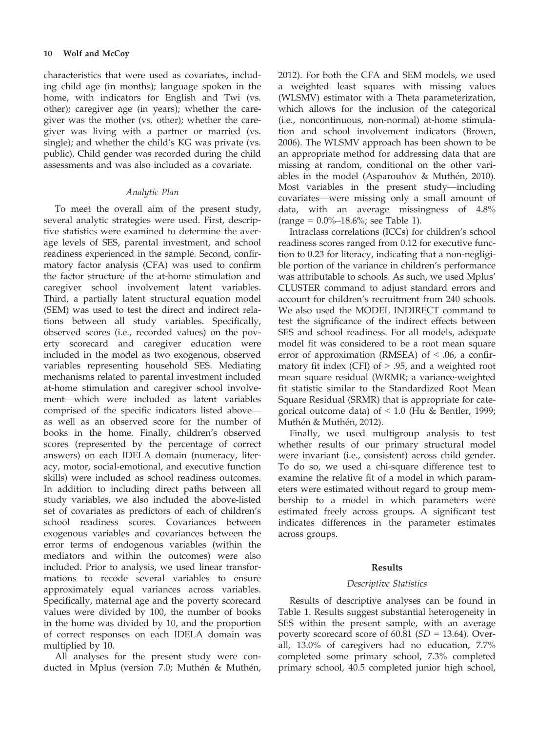characteristics that were used as covariates, including child age (in months); language spoken in the home, with indicators for English and Twi (vs. other); caregiver age (in years); whether the caregiver was the mother (vs. other); whether the caregiver was living with a partner or married (vs. single); and whether the child's KG was private (vs. public). Child gender was recorded during the child assessments and was also included as a covariate.

## Analytic Plan

To meet the overall aim of the present study, several analytic strategies were used. First, descriptive statistics were examined to determine the average levels of SES, parental investment, and school readiness experienced in the sample. Second, confirmatory factor analysis (CFA) was used to confirm the factor structure of the at-home stimulation and caregiver school involvement latent variables. Third, a partially latent structural equation model (SEM) was used to test the direct and indirect relations between all study variables. Specifically, observed scores (i.e., recorded values) on the poverty scorecard and caregiver education were included in the model as two exogenous, observed variables representing household SES. Mediating mechanisms related to parental investment included at-home stimulation and caregiver school involvement—which were included as latent variables comprised of the specific indicators listed above as well as an observed score for the number of books in the home. Finally, children's observed scores (represented by the percentage of correct answers) on each IDELA domain (numeracy, literacy, motor, social-emotional, and executive function skills) were included as school readiness outcomes. In addition to including direct paths between all study variables, we also included the above-listed set of covariates as predictors of each of children's school readiness scores. Covariances between exogenous variables and covariances between the error terms of endogenous variables (within the mediators and within the outcomes) were also included. Prior to analysis, we used linear transformations to recode several variables to ensure approximately equal variances across variables. Specifically, maternal age and the poverty scorecard values were divided by 100, the number of books in the home was divided by 10, and the proportion of correct responses on each IDELA domain was multiplied by 10.

All analyses for the present study were conducted in Mplus (version 7.0; Muthén & Muthén, 2012). For both the CFA and SEM models, we used a weighted least squares with missing values (WLSMV) estimator with a Theta parameterization, which allows for the inclusion of the categorical (i.e., noncontinuous, non-normal) at-home stimulation and school involvement indicators (Brown, 2006). The WLSMV approach has been shown to be an appropriate method for addressing data that are missing at random, conditional on the other variables in the model (Asparouhov  $\&$  Muthén, 2010). Most variables in the present study—including covariates—were missing only a small amount of data, with an average missingness of 4.8%  $(range = 0.0\% - 18.6\%; see Table 1).$ 

Intraclass correlations (ICCs) for children's school readiness scores ranged from 0.12 for executive function to 0.23 for literacy, indicating that a non-negligible portion of the variance in children's performance was attributable to schools. As such, we used Mplus' CLUSTER command to adjust standard errors and account for children's recruitment from 240 schools. We also used the MODEL INDIRECT command to test the significance of the indirect effects between SES and school readiness. For all models, adequate model fit was considered to be a root mean square error of approximation (RMSEA) of  $\leq$  .06, a confirmatory fit index (CFI) of  $> 0.95$ , and a weighted root mean square residual (WRMR; a variance-weighted fit statistic similar to the Standardized Root Mean Square Residual (SRMR) that is appropriate for categorical outcome data) of  $\leq$  1.0 (Hu & Bentler, 1999; Muthén & Muthén, 2012).

Finally, we used multigroup analysis to test whether results of our primary structural model were invariant (i.e., consistent) across child gender. To do so, we used a chi-square difference test to examine the relative fit of a model in which parameters were estimated without regard to group membership to a model in which parameters were estimated freely across groups. A significant test indicates differences in the parameter estimates across groups.

#### Results

#### Descriptive Statistics

Results of descriptive analyses can be found in Table 1. Results suggest substantial heterogeneity in SES within the present sample, with an average poverty scorecard score of  $60.81$  (SD = 13.64). Overall, 13.0% of caregivers had no education, 7.7% completed some primary school, 7.3% completed primary school, 40.5 completed junior high school,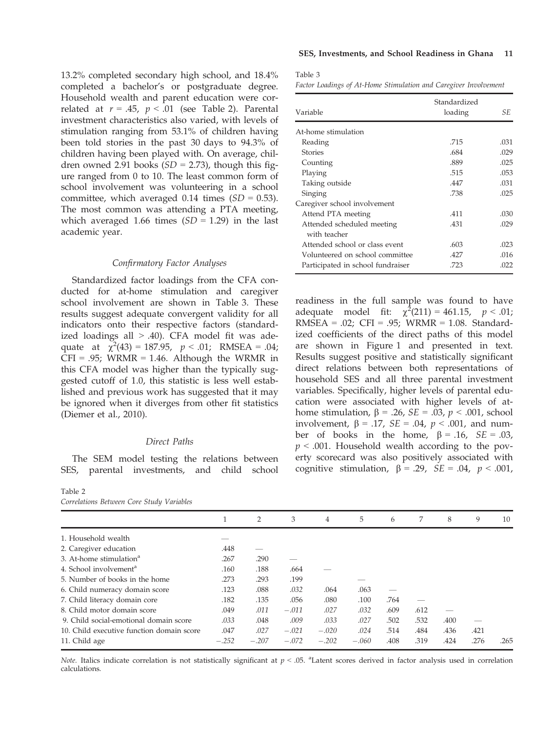13.2% completed secondary high school, and 18.4% completed a bachelor's or postgraduate degree. Household wealth and parent education were correlated at  $r = .45$ ,  $p < .01$  (see Table 2). Parental investment characteristics also varied, with levels of stimulation ranging from 53.1% of children having been told stories in the past 30 days to 94.3% of children having been played with. On average, children owned 2.91 books  $(SD = 2.73)$ , though this figure ranged from 0 to 10. The least common form of school involvement was volunteering in a school committee, which averaged 0.14 times  $(SD = 0.53)$ . The most common was attending a PTA meeting, which averaged 1.66 times  $(SD = 1.29)$  in the last academic year.

#### Confirmatory Factor Analyses

Standardized factor loadings from the CFA conducted for at-home stimulation and caregiver school involvement are shown in Table 3. These results suggest adequate convergent validity for all indicators onto their respective factors (standardized loadings all  $> 0.40$ . CFA model fit was adequate at  $\chi^2(43) = 187.95$ ,  $p < .01$ ; RMSEA = .04;  $CFI = .95$ ; WRMR = 1.46. Although the WRMR in this CFA model was higher than the typically suggested cutoff of 1.0, this statistic is less well established and previous work has suggested that it may be ignored when it diverges from other fit statistics (Diemer et al., 2010).

## Direct Paths

The SEM model testing the relations between SES, parental investments, and child school

Table 2 Correlations Between Core Study Variables

 $\mathbf{3}$ 

Factor Loadings of At-Home Stimulation and Caregiver Involvement

| Variable                                   | Standardized<br>loading | SE.  |
|--------------------------------------------|-------------------------|------|
| At-home stimulation                        |                         |      |
| Reading                                    | .715                    | .031 |
| <b>Stories</b>                             | .684                    | .029 |
| Counting                                   | .889                    | .025 |
| Playing                                    | .515                    | .053 |
| Taking outside                             | .447                    | .031 |
| Singing                                    | .738                    | .025 |
| Caregiver school involvement               |                         |      |
| Attend PTA meeting                         | .411                    | .030 |
| Attended scheduled meeting<br>with teacher | .431                    | .029 |
| Attended school or class event             | .603                    | .023 |
| Volunteered on school committee            | .427                    | .016 |
| Participated in school fundraiser          | .723                    | .022 |

readiness in the full sample was found to have adequate model fit:  $\chi^2(211) = 461.15$ ,  $p < .01$ ; RMSEA = .02; CFI = .95; WRMR = 1.08. Standardized coefficients of the direct paths of this model are shown in Figure 1 and presented in text. Results suggest positive and statistically significant direct relations between both representations of household SES and all three parental investment variables. Specifically, higher levels of parental education were associated with higher levels of athome stimulation,  $\beta$  = .26, *SE* = .03,  $p < .001$ , school involvement,  $\beta = .17$ ,  $SE = .04$ ,  $p < .001$ , and number of books in the home,  $\beta = .16$ ,  $SE = .03$ ,  $p < .001$ . Household wealth according to the poverty scorecard was also positively associated with cognitive stimulation,  $\beta = .29$ ,  $SE = .04$ ,  $p < .001$ ,

| 1       | 2       | 3       | 4       | 5       | 6    | 7    | 8    | 9    | 10   |
|---------|---------|---------|---------|---------|------|------|------|------|------|
|         |         |         |         |         |      |      |      |      |      |
| .448    |         |         |         |         |      |      |      |      |      |
| .267    | .290    |         |         |         |      |      |      |      |      |
| .160    | .188    | .664    |         |         |      |      |      |      |      |
| .273    | .293    | .199    |         |         |      |      |      |      |      |
| .123    | .088    | .032    | .064    | .063    |      |      |      |      |      |
| .182    | .135    | .056    | .080    | .100    | .764 |      |      |      |      |
| .049    | .011    | $-.011$ | .027    | .032    | .609 | .612 |      |      |      |
| .033    | .048    | .009    | .033    | .027    | .502 | .532 | .400 |      |      |
| .047    | .027    | $-.021$ | $-.020$ | .024    | .514 | .484 | .436 | .421 |      |
| $-.252$ | $-.207$ | $-.072$ | $-.202$ | $-.060$ | .408 | .319 | .424 | .276 | .265 |
|         |         |         |         |         |      |      |      |      |      |

Note. Italics indicate correlation is not statistically significant at  $p < .05$ . <sup>a</sup>Latent scores derived in factor analysis used in correlation calculations.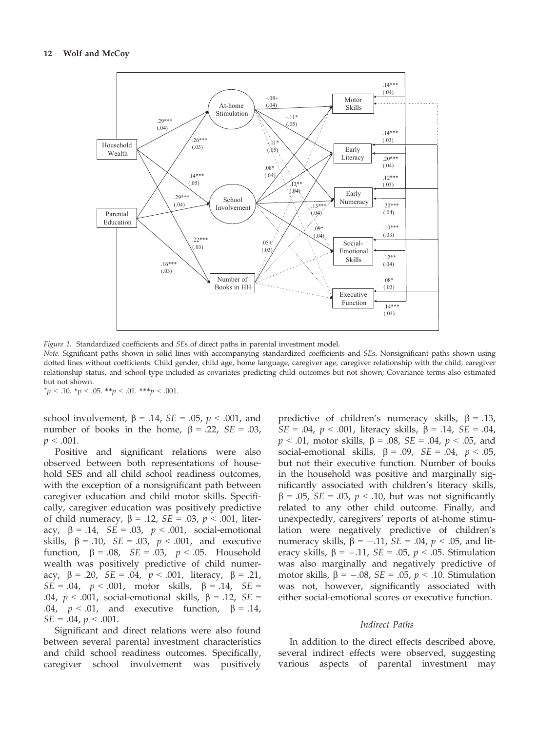

Figure 1. Standardized coefficients and SEs of direct paths in parental investment model.

Note. Significant paths shown in solid lines with accompanying standardized coefficients and SEs. Nonsignificant paths shown using dotted lines without coefficients. Child gender, child age, home language, caregiver age, caregiver relationship with the child, caregiver relationship status, and school type included as covariates predicting child outcomes but not shown; Covariance terms also estimated but not shown.

 $^{\ast}p < .10. \ ^{\ast}p < .05. \ ^{\ast\ast}p < .01. \ ^{\ast\ast\ast}p < .001.$ 

school involvement,  $\beta = .14$ ,  $SE = .05$ ,  $p < .001$ , and number of books in the home,  $\beta = .22$ ,  $SE = .03$ ,  $p < .001$ .

Positive and significant relations were also observed between both representations of household SES and all child school readiness outcomes, with the exception of a nonsignificant path between caregiver education and child motor skills. Specifically, caregiver education was positively predictive of child numeracy,  $\beta = .12$ ,  $SE = .03$ ,  $p < .001$ , literacy,  $\beta = .14$ ,  $SE = .03$ ,  $p < .001$ , social-emotional skills,  $\beta$  = .10, *SE* = .03,  $p < .001$ , and executive function,  $\beta = .08$ ,  $SE = .03$ ,  $p < .05$ . Household wealth was positively predictive of child numeracy,  $\beta = .20$ ,  $SE = .04$ ,  $p < .001$ , literacy,  $\beta = .21$ ,  $SE = .04$ ,  $p < .001$ , motor skills,  $\beta = .14$ ,  $SE =$ .04,  $p < .001$ , social-emotional skills,  $\beta = .12$ ,  $SE =$ .04,  $p < .01$ , and executive function,  $\beta = .14$ ,  $SE = .04$ ,  $p < .001$ .

Significant and direct relations were also found between several parental investment characteristics and child school readiness outcomes. Specifically, caregiver school involvement was positively predictive of children's numeracy skills,  $\beta = .13$ ,  $SE = .04$ ,  $p < .001$ , literacy skills,  $\beta = .14$ ,  $SE = .04$ ,  $p < .01$ , motor skills,  $\beta = .08$ ,  $SE = .04$ ,  $p < .05$ , and social-emotional skills,  $\beta = .09$ ,  $SE = .04$ ,  $p < .05$ , but not their executive function. Number of books in the household was positive and marginally significantly associated with children's literacy skills,  $\beta$  = .05, *SE* = .03, *p* < .10, but was not significantly related to any other child outcome. Finally, and unexpectedly, caregivers' reports of at-home stimulation were negatively predictive of children's numeracy skills,  $\beta = -.11$ ,  $SE = .04$ ,  $p < .05$ , and literacy skills,  $\beta = -.11$ ,  $SE = .05$ ,  $p < .05$ . Stimulation was also marginally and negatively predictive of motor skills,  $\beta = -.08$ ,  $SE = .05$ ,  $p < .10$ . Stimulation was not, however, significantly associated with either social-emotional scores or executive function.

## Indirect Paths

In addition to the direct effects described above, several indirect effects were observed, suggesting various aspects of parental investment may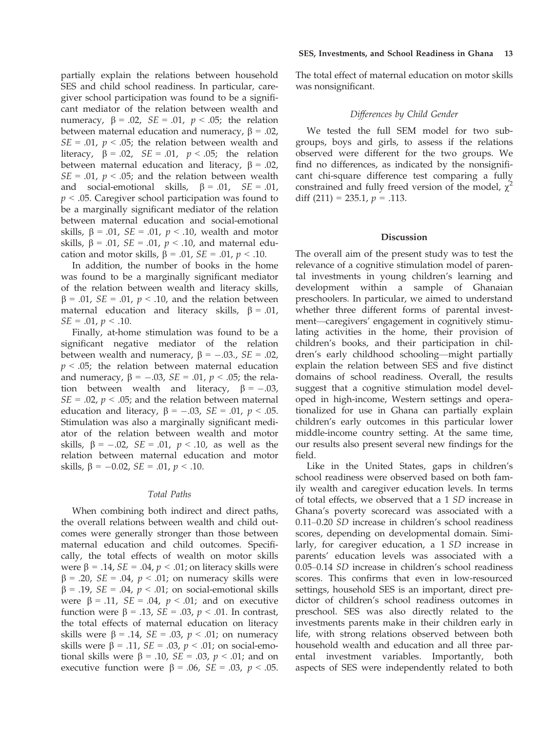partially explain the relations between household SES and child school readiness. In particular, caregiver school participation was found to be a significant mediator of the relation between wealth and numeracy,  $\beta = .02$ ,  $SE = .01$ ,  $p < .05$ ; the relation between maternal education and numeracy,  $\beta = .02$ ,  $SE = .01$ ,  $p < .05$ ; the relation between wealth and literacy,  $\beta = .02$ ,  $SE = .01$ ,  $p < .05$ ; the relation between maternal education and literacy,  $\beta = .02$ ,  $SE = .01$ ,  $p < .05$ ; and the relation between wealth and social-emotional skills,  $\beta = .01$ ,  $SE = .01$ ,  $p < .05$ . Caregiver school participation was found to be a marginally significant mediator of the relation between maternal education and social-emotional skills,  $\beta$  = .01, *SE* = .01, *p* < .10, wealth and motor skills,  $\beta$  = .01, *SE* = .01,  $p < .10$ , and maternal education and motor skills,  $\beta = .01$ ,  $SE = .01$ ,  $p < .10$ .

In addition, the number of books in the home was found to be a marginally significant mediator of the relation between wealth and literacy skills,  $\beta$  = .01, *SE* = .01, *p* < .10, and the relation between maternal education and literacy skills,  $\beta = .01$ ,  $SE = .01, p < .10.$ 

Finally, at-home stimulation was found to be a significant negative mediator of the relation between wealth and numeracy,  $\beta = -.03$ .,  $SE = .02$ ,  $p < .05$ ; the relation between maternal education and numeracy,  $\beta = -.03$ ,  $SE = .01$ ,  $p < .05$ ; the relation between wealth and literacy,  $\beta = -.03$ ,  $SE = .02$ ,  $p < .05$ ; and the relation between maternal education and literacy,  $\beta = -.03$ ,  $SE = .01$ ,  $p < .05$ . Stimulation was also a marginally significant mediator of the relation between wealth and motor skills,  $\beta = -.02$ ,  $SE = .01$ ,  $p < .10$ , as well as the relation between maternal education and motor skills,  $\beta = -0.02$ ,  $SE = .01$ ,  $p < .10$ .

## Total Paths

When combining both indirect and direct paths, the overall relations between wealth and child outcomes were generally stronger than those between maternal education and child outcomes. Specifically, the total effects of wealth on motor skills were  $\beta = .14$ ,  $SE = .04$ ,  $p < .01$ ; on literacy skills were  $\beta = .20$ ,  $SE = .04$ ,  $p < .01$ ; on numeracy skills were  $\beta = .19$ ,  $SE = .04$ ,  $p < .01$ ; on social-emotional skills were  $\beta = .11$ ,  $SE = .04$ ,  $p < .01$ ; and on executive function were  $\beta = .13$ ,  $SE = .03$ ,  $p < .01$ . In contrast, the total effects of maternal education on literacy skills were  $\beta$  = .14, *SE* = .03,  $p < .01$ ; on numeracy skills were  $\beta$  = .11, *SE* = .03,  $p < .01$ ; on social-emotional skills were  $\beta$  = .10, *SE* = .03, *p* < .01; and on executive function were  $\beta = .06$ ,  $SE = .03$ ,  $p < .05$ .

The total effect of maternal education on motor skills was nonsignificant.

## Differences by Child Gender

We tested the full SEM model for two subgroups, boys and girls, to assess if the relations observed were different for the two groups. We find no differences, as indicated by the nonsignificant chi-square difference test comparing a fully constrained and fully freed version of the model,  $\chi^2$ diff  $(211) = 235.1$ ,  $p = .113$ .

#### Discussion

The overall aim of the present study was to test the relevance of a cognitive stimulation model of parental investments in young children's learning and development within a sample of Ghanaian preschoolers. In particular, we aimed to understand whether three different forms of parental investment—caregivers' engagement in cognitively stimulating activities in the home, their provision of children's books, and their participation in children's early childhood schooling—might partially explain the relation between SES and five distinct domains of school readiness. Overall, the results suggest that a cognitive stimulation model developed in high-income, Western settings and operationalized for use in Ghana can partially explain children's early outcomes in this particular lower middle-income country setting. At the same time, our results also present several new findings for the field.

Like in the United States, gaps in children's school readiness were observed based on both family wealth and caregiver education levels. In terms of total effects, we observed that a 1 SD increase in Ghana's poverty scorecard was associated with a 0.11–0.20 SD increase in children's school readiness scores, depending on developmental domain. Similarly, for caregiver education, a 1 SD increase in parents' education levels was associated with a 0.05–0.14 SD increase in children's school readiness scores. This confirms that even in low-resourced settings, household SES is an important, direct predictor of children's school readiness outcomes in preschool. SES was also directly related to the investments parents make in their children early in life, with strong relations observed between both household wealth and education and all three parental investment variables. Importantly, both aspects of SES were independently related to both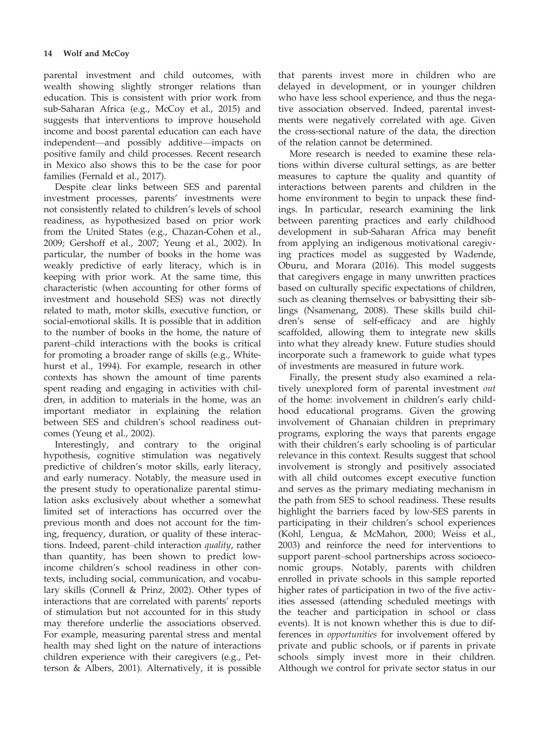parental investment and child outcomes, with wealth showing slightly stronger relations than education. This is consistent with prior work from sub-Saharan Africa (e.g., McCoy et al., 2015) and suggests that interventions to improve household income and boost parental education can each have independent—and possibly additive—impacts on positive family and child processes. Recent research in Mexico also shows this to be the case for poor families (Fernald et al., 2017).

Despite clear links between SES and parental investment processes, parents' investments were not consistently related to children's levels of school readiness, as hypothesized based on prior work from the United States (e.g., Chazan-Cohen et al., 2009; Gershoff et al., 2007; Yeung et al., 2002). In particular, the number of books in the home was weakly predictive of early literacy, which is in keeping with prior work. At the same time, this characteristic (when accounting for other forms of investment and household SES) was not directly related to math, motor skills, executive function, or social-emotional skills. It is possible that in addition to the number of books in the home, the nature of parent–child interactions with the books is critical for promoting a broader range of skills (e.g., Whitehurst et al., 1994). For example, research in other contexts has shown the amount of time parents spent reading and engaging in activities with children, in addition to materials in the home, was an important mediator in explaining the relation between SES and children's school readiness outcomes (Yeung et al., 2002).

Interestingly, and contrary to the original hypothesis, cognitive stimulation was negatively predictive of children's motor skills, early literacy, and early numeracy. Notably, the measure used in the present study to operationalize parental stimulation asks exclusively about whether a somewhat limited set of interactions has occurred over the previous month and does not account for the timing, frequency, duration, or quality of these interactions. Indeed, parent–child interaction quality, rather than quantity, has been shown to predict lowincome children's school readiness in other contexts, including social, communication, and vocabulary skills (Connell & Prinz, 2002). Other types of interactions that are correlated with parents' reports of stimulation but not accounted for in this study may therefore underlie the associations observed. For example, measuring parental stress and mental health may shed light on the nature of interactions children experience with their caregivers (e.g., Petterson & Albers, 2001). Alternatively, it is possible

that parents invest more in children who are delayed in development, or in younger children who have less school experience, and thus the negative association observed. Indeed, parental investments were negatively correlated with age. Given the cross-sectional nature of the data, the direction of the relation cannot be determined.

More research is needed to examine these relations within diverse cultural settings, as are better measures to capture the quality and quantity of interactions between parents and children in the home environment to begin to unpack these findings. In particular, research examining the link between parenting practices and early childhood development in sub-Saharan Africa may benefit from applying an indigenous motivational caregiving practices model as suggested by Wadende, Oburu, and Morara (2016). This model suggests that caregivers engage in many unwritten practices based on culturally specific expectations of children, such as cleaning themselves or babysitting their siblings (Nsamenang, 2008). These skills build children's sense of self-efficacy and are highly scaffolded, allowing them to integrate new skills into what they already knew. Future studies should incorporate such a framework to guide what types of investments are measured in future work.

Finally, the present study also examined a relatively unexplored form of parental investment out of the home: involvement in children's early childhood educational programs. Given the growing involvement of Ghanaian children in preprimary programs, exploring the ways that parents engage with their children's early schooling is of particular relevance in this context. Results suggest that school involvement is strongly and positively associated with all child outcomes except executive function and serves as the primary mediating mechanism in the path from SES to school readiness. These results highlight the barriers faced by low-SES parents in participating in their children's school experiences (Kohl, Lengua, & McMahon, 2000; Weiss et al., 2003) and reinforce the need for interventions to support parent–school partnerships across socioeconomic groups. Notably, parents with children enrolled in private schools in this sample reported higher rates of participation in two of the five activities assessed (attending scheduled meetings with the teacher and participation in school or class events). It is not known whether this is due to differences in opportunities for involvement offered by private and public schools, or if parents in private schools simply invest more in their children. Although we control for private sector status in our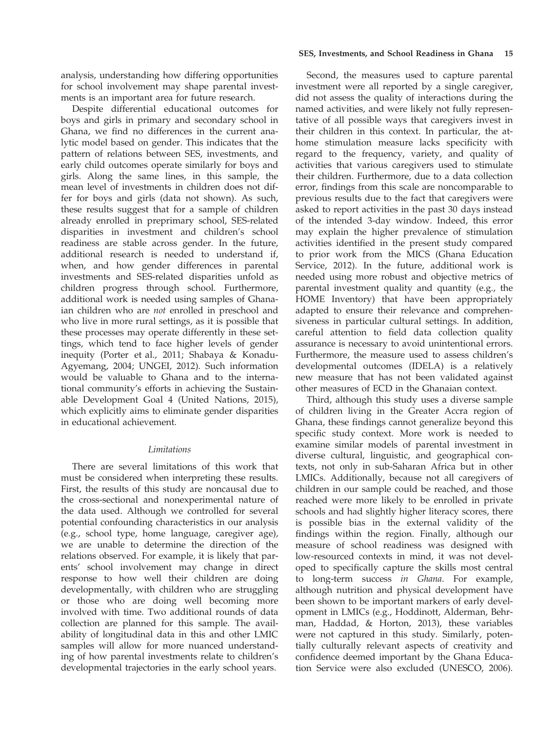analysis, understanding how differing opportunities for school involvement may shape parental investments is an important area for future research.

Despite differential educational outcomes for boys and girls in primary and secondary school in Ghana, we find no differences in the current analytic model based on gender. This indicates that the pattern of relations between SES, investments, and early child outcomes operate similarly for boys and girls. Along the same lines, in this sample, the mean level of investments in children does not differ for boys and girls (data not shown). As such, these results suggest that for a sample of children already enrolled in preprimary school, SES-related disparities in investment and children's school readiness are stable across gender. In the future, additional research is needed to understand if, when, and how gender differences in parental investments and SES-related disparities unfold as children progress through school. Furthermore, additional work is needed using samples of Ghanaian children who are not enrolled in preschool and who live in more rural settings, as it is possible that these processes may operate differently in these settings, which tend to face higher levels of gender inequity (Porter et al., 2011; Shabaya & Konadu-Agyemang, 2004; UNGEI, 2012). Such information would be valuable to Ghana and to the international community's efforts in achieving the Sustainable Development Goal 4 (United Nations, 2015), which explicitly aims to eliminate gender disparities in educational achievement.

## Limitations

There are several limitations of this work that must be considered when interpreting these results. First, the results of this study are noncausal due to the cross-sectional and nonexperimental nature of the data used. Although we controlled for several potential confounding characteristics in our analysis (e.g., school type, home language, caregiver age), we are unable to determine the direction of the relations observed. For example, it is likely that parents' school involvement may change in direct response to how well their children are doing developmentally, with children who are struggling or those who are doing well becoming more involved with time. Two additional rounds of data collection are planned for this sample. The availability of longitudinal data in this and other LMIC samples will allow for more nuanced understanding of how parental investments relate to children's developmental trajectories in the early school years.

#### SES, Investments, and School Readiness in Ghana 15

Second, the measures used to capture parental investment were all reported by a single caregiver, did not assess the quality of interactions during the named activities, and were likely not fully representative of all possible ways that caregivers invest in their children in this context. In particular, the athome stimulation measure lacks specificity with regard to the frequency, variety, and quality of activities that various caregivers used to stimulate their children. Furthermore, due to a data collection error, findings from this scale are noncomparable to previous results due to the fact that caregivers were asked to report activities in the past 30 days instead of the intended 3-day window. Indeed, this error may explain the higher prevalence of stimulation activities identified in the present study compared to prior work from the MICS (Ghana Education Service, 2012). In the future, additional work is needed using more robust and objective metrics of parental investment quality and quantity (e.g., the HOME Inventory) that have been appropriately adapted to ensure their relevance and comprehensiveness in particular cultural settings. In addition, careful attention to field data collection quality assurance is necessary to avoid unintentional errors. Furthermore, the measure used to assess children's developmental outcomes (IDELA) is a relatively new measure that has not been validated against other measures of ECD in the Ghanaian context.

Third, although this study uses a diverse sample of children living in the Greater Accra region of Ghana, these findings cannot generalize beyond this specific study context. More work is needed to examine similar models of parental investment in diverse cultural, linguistic, and geographical contexts, not only in sub-Saharan Africa but in other LMICs. Additionally, because not all caregivers of children in our sample could be reached, and those reached were more likely to be enrolled in private schools and had slightly higher literacy scores, there is possible bias in the external validity of the findings within the region. Finally, although our measure of school readiness was designed with low-resourced contexts in mind, it was not developed to specifically capture the skills most central to long-term success in Ghana. For example, although nutrition and physical development have been shown to be important markers of early development in LMICs (e.g., Hoddinott, Alderman, Behrman, Haddad, & Horton, 2013), these variables were not captured in this study. Similarly, potentially culturally relevant aspects of creativity and confidence deemed important by the Ghana Education Service were also excluded (UNESCO, 2006).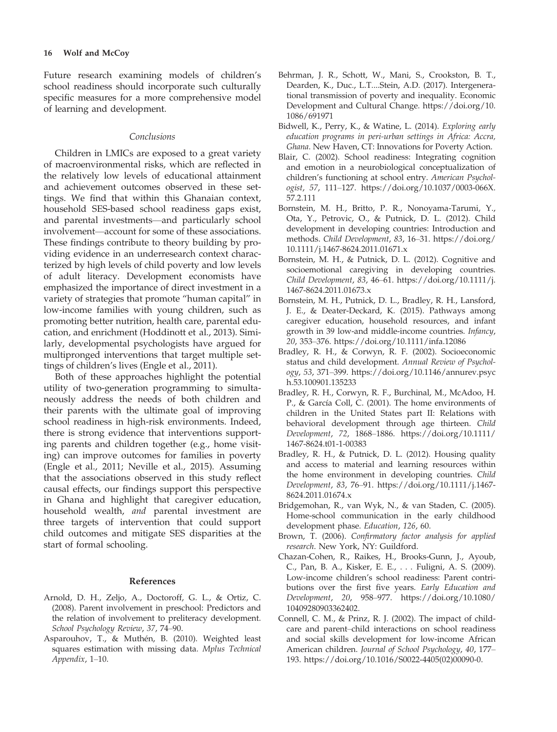Future research examining models of children's school readiness should incorporate such culturally specific measures for a more comprehensive model of learning and development.

## Conclusions

Children in LMICs are exposed to a great variety of macroenvironmental risks, which are reflected in the relatively low levels of educational attainment and achievement outcomes observed in these settings. We find that within this Ghanaian context, household SES-based school readiness gaps exist, and parental investments—and particularly school involvement—account for some of these associations. These findings contribute to theory building by providing evidence in an underresearch context characterized by high levels of child poverty and low levels of adult literacy. Development economists have emphasized the importance of direct investment in a variety of strategies that promote "human capital" in low-income families with young children, such as promoting better nutrition, health care, parental education, and enrichment (Hoddinott et al., 2013). Similarly, developmental psychologists have argued for multipronged interventions that target multiple settings of children's lives (Engle et al., 2011).

Both of these approaches highlight the potential utility of two-generation programming to simultaneously address the needs of both children and their parents with the ultimate goal of improving school readiness in high-risk environments. Indeed, there is strong evidence that interventions supporting parents and children together (e.g., home visiting) can improve outcomes for families in poverty (Engle et al., 2011; Neville et al., 2015). Assuming that the associations observed in this study reflect causal effects, our findings support this perspective in Ghana and highlight that caregiver education, household wealth, and parental investment are three targets of intervention that could support child outcomes and mitigate SES disparities at the start of formal schooling.

## References

- Arnold, D. H., Zeljo, A., Doctoroff, G. L., & Ortiz, C. (2008). Parent involvement in preschool: Predictors and the relation of involvement to preliteracy development. School Psychology Review, 37, 74–90.
- Asparouhov, T., & Muthén, B. (2010). Weighted least squares estimation with missing data. Mplus Technical Appendix, 1–10.
- Behrman, J. R., Schott, W., Mani, S., Crookston, B. T., Dearden, K., Duc., L.T....Stein, A.D. (2017). Intergenerational transmission of poverty and inequality. Economic Development and Cultural Change. [https://doi.org/10.](https://doi.org/10.1086/691971) [1086/691971](https://doi.org/10.1086/691971)
- Bidwell, K., Perry, K., & Watine, L. (2014). Exploring early education programs in peri-urban settings in Africa: Accra, Ghana. New Haven, CT: Innovations for Poverty Action.
- Blair, C. (2002). School readiness: Integrating cognition and emotion in a neurobiological conceptualization of children's functioning at school entry. American Psychologist, 57, 111–127. [https://doi.org/10.1037/0003-066X.](https://doi.org/10.1037/0003-066X.57.2.111) [57.2.111](https://doi.org/10.1037/0003-066X.57.2.111)
- Bornstein, M. H., Britto, P. R., Nonoyama-Tarumi, Y., Ota, Y., Petrovic, O., & Putnick, D. L. (2012). Child development in developing countries: Introduction and methods. Child Development, 83, 16–31. [https://doi.org/](https://doi.org/10.1111/j.1467-8624.2011.01671.x) [10.1111/j.1467-8624.2011.01671.x](https://doi.org/10.1111/j.1467-8624.2011.01671.x)
- Bornstein, M. H., & Putnick, D. L. (2012). Cognitive and socioemotional caregiving in developing countries. Child Development, 83, 46–61. [https://doi.org/10.1111/j.](https://doi.org/10.1111/j.1467-8624.2011.01673.x) [1467-8624.2011.01673.x](https://doi.org/10.1111/j.1467-8624.2011.01673.x)
- Bornstein, M. H., Putnick, D. L., Bradley, R. H., Lansford, J. E., & Deater-Deckard, K. (2015). Pathways among caregiver education, household resources, and infant growth in 39 low-and middle-income countries. Infancy, 20, 353–376.<https://doi.org/10.1111/infa.12086>
- Bradley, R. H., & Corwyn, R. F. (2002). Socioeconomic status and child development. Annual Review of Psychology, 53, 371–399. [https://doi.org/10.1146/annurev.psyc](https://doi.org/10.1146/annurev.psych.53.100901.135233) [h.53.100901.135233](https://doi.org/10.1146/annurev.psych.53.100901.135233)
- Bradley, R. H., Corwyn, R. F., Burchinal, M., McAdoo, H. P., & García Coll, C. (2001). The home environments of children in the United States part II: Relations with behavioral development through age thirteen. Child Development, 72, 1868–1886. [https://doi.org/10.1111/](https://doi.org/10.1111/1467-8624.t01-1-00383) [1467-8624.t01-1-00383](https://doi.org/10.1111/1467-8624.t01-1-00383)
- Bradley, R. H., & Putnick, D. L. (2012). Housing quality and access to material and learning resources within the home environment in developing countries. Child Development, 83, 76–91. [https://doi.org/10.1111/j.1467-](https://doi.org/10.1111/j.1467-8624.2011.01674.x) [8624.2011.01674.x](https://doi.org/10.1111/j.1467-8624.2011.01674.x)
- Bridgemohan, R., van Wyk, N., & van Staden, C. (2005). Home-school communication in the early childhood development phase. Education, 126, 60.
- Brown, T. (2006). Confirmatory factor analysis for applied research. New York, NY: Guildford.
- Chazan-Cohen, R., Raikes, H., Brooks-Gunn, J., Ayoub, C., Pan, B. A., Kisker, E. E., . . . Fuligni, A. S. (2009). Low-income children's school readiness: Parent contributions over the first five years. Early Education and Development, 20, 958–977. [https://doi.org/10.1080/](https://doi.org/10.1080/10409280903362402) [10409280903362402.](https://doi.org/10.1080/10409280903362402)
- Connell, C. M., & Prinz, R. J. (2002). The impact of childcare and parent–child interactions on school readiness and social skills development for low-income African American children. Journal of School Psychology, 40, 177– 193. [https://doi.org/10.1016/S0022-4405\(02\)00090-0](https://doi.org/10.1016/S0022-4405(02)00090-0).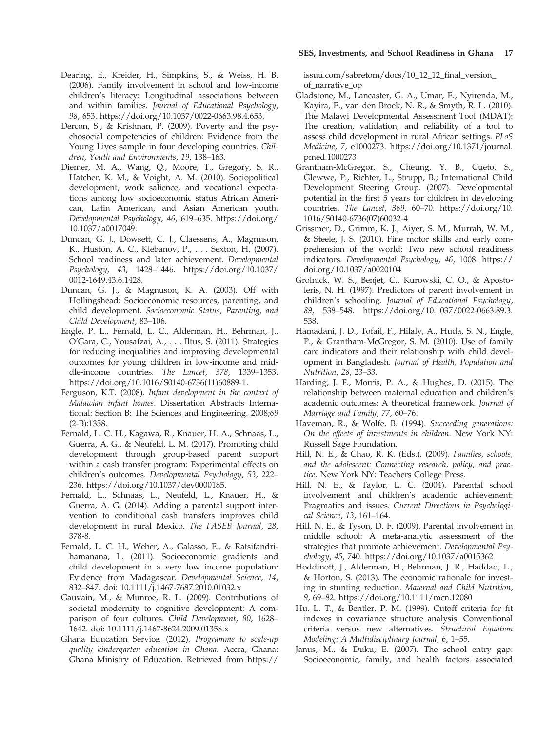- Dercon, S., & Krishnan, P. (2009). Poverty and the psychosocial competencies of children: Evidence from the Young Lives sample in four developing countries. Children, Youth and Environments, 19, 138–163.
- Diemer, M. A., Wang, Q., Moore, T., Gregory, S. R., Hatcher, K. M., & Voight, A. M. (2010). Sociopolitical development, work salience, and vocational expectations among low socioeconomic status African American, Latin American, and Asian American youth. Developmental Psychology, 46, 619–635. [https://doi.org/](https://doi.org/10.1037/a0017049) [10.1037/a0017049](https://doi.org/10.1037/a0017049).
- Duncan, G. J., Dowsett, C. J., Claessens, A., Magnuson, K., Huston, A. C., Klebanov, P., . . . Sexton, H. (2007). School readiness and later achievement. Developmental Psychology, 43, 1428–1446. [https://doi.org/10.1037/](https://doi.org/10.1037/0012-1649.43.6.1428) [0012-1649.43.6.1428.](https://doi.org/10.1037/0012-1649.43.6.1428)
- Duncan, G. J., & Magnuson, K. A. (2003). Off with Hollingshead: Socioeconomic resources, parenting, and child development. Socioeconomic Status, Parenting, and Child Development, 83–106.
- Engle, P. L., Fernald, L. C., Alderman, H., Behrman, J., O'Gara, C., Yousafzai, A., . . . Iltus, S. (2011). Strategies for reducing inequalities and improving developmental outcomes for young children in low-income and middle-income countries. The Lancet, 378, 1339–1353. [https://doi.org/10.1016/S0140-6736\(11\)60889-1](https://doi.org/10.1016/S0140-6736(11)60889-1).
- Ferguson, K.T. (2008). Infant development in the context of Malawian infant homes. Dissertation Abstracts International: Section B: The Sciences and Engineering. 2008;69 (2-B):1358.
- Fernald, L. C. H., Kagawa, R., Knauer, H. A., Schnaas, L., Guerra, A. G., & Neufeld, L. M. (2017). Promoting child development through group-based parent support within a cash transfer program: Experimental effects on children's outcomes. Developmental Psychology, 53, 222– 236.<https://doi.org/10.1037/dev0000185>.
- Fernald, L., Schnaas, L., Neufeld, L., Knauer, H., & Guerra, A. G. (2014). Adding a parental support intervention to conditional cash transfers improves child development in rural Mexico. The FASEB Journal, 28, 378-8.
- Fernald, L. C. H., Weber, A., Galasso, E., & Ratsifandrihamanana, L. (2011). Socioeconomic gradients and child development in a very low income population: Evidence from Madagascar. Developmental Science, 14, 832–847. doi: [10.1111/j.1467-7687.2010.01032.x](https://doi.org/10.1111/j.1467-7687.2010.01032.x)
- Gauvain, M., & Munroe, R. L. (2009). Contributions of societal modernity to cognitive development: A comparison of four cultures. Child Development, 80, 1628– 1642. doi: [10.1111/j.1467-8624.2009.01358.x](https://doi.org/10.1111/j.1467-8624.2009.01358.x)
- Ghana Education Service. (2012). Programme to scale-up quality kindergarten education in Ghana. Accra, Ghana: Ghana Ministry of Education. Retrieved from [https://](https://issuu.com/sabretom/docs/10_12_12_final_version_of_narrative_op)

[issuu.com/sabretom/docs/10\\_12\\_12\\_final\\_version\\_](https://issuu.com/sabretom/docs/10_12_12_final_version_of_narrative_op) [of\\_narrative\\_op](https://issuu.com/sabretom/docs/10_12_12_final_version_of_narrative_op)

- Gladstone, M., Lancaster, G. A., Umar, E., Nyirenda, M., Kayira, E., van den Broek, N. R., & Smyth, R. L. (2010). The Malawi Developmental Assessment Tool (MDAT): The creation, validation, and reliability of a tool to assess child development in rural African settings. PLoS Medicine, 7, e1000273. [https://doi.org/10.1371/journal.](https://doi.org/10.1371/journal.pmed.1000273) [pmed.1000273](https://doi.org/10.1371/journal.pmed.1000273)
- Grantham-McGregor, S., Cheung, Y. B., Cueto, S., Glewwe, P., Richter, L., Strupp, B.; International Child Development Steering Group. (2007). Developmental potential in the first 5 years for children in developing countries. The Lancet, 369, 60–70. [https://doi.org/10.](https://doi.org/10.1016/S0140-6736(07)60032-4) [1016/S0140-6736\(07\)60032-4](https://doi.org/10.1016/S0140-6736(07)60032-4)
- Grissmer, D., Grimm, K. J., Aiyer, S. M., Murrah, W. M., & Steele, J. S. (2010). Fine motor skills and early comprehension of the world: Two new school readiness indicators. Developmental Psychology, 46, 1008. [https://](https://doi.org/10.1037/a0020104) [doi.org/10.1037/a0020104](https://doi.org/10.1037/a0020104)
- Grolnick, W. S., Benjet, C., Kurowski, C. O., & Apostoleris, N. H. (1997). Predictors of parent involvement in children's schooling. Journal of Educational Psychology, 89, 538–548. [https://doi.org/10.1037/0022-0663.89.3.](https://doi.org/10.1037/0022-0663.89.3.538) [538](https://doi.org/10.1037/0022-0663.89.3.538).
- Hamadani, J. D., Tofail, F., Hilaly, A., Huda, S. N., Engle, P., & Grantham-McGregor, S. M. (2010). Use of family care indicators and their relationship with child development in Bangladesh. Journal of Health, Population and Nutrition, 28, 23–33.
- Harding, J. F., Morris, P. A., & Hughes, D. (2015). The relationship between maternal education and children's academic outcomes: A theoretical framework. Journal of Marriage and Family, 77, 60–76.
- Haveman, R., & Wolfe, B. (1994). Succeeding generations: On the effects of investments in children. New York NY: Russell Sage Foundation.
- Hill, N. E., & Chao, R. K. (Eds.). (2009). Families, schools, and the adolescent: Connecting research, policy, and practice. New York NY: Teachers College Press.
- Hill, N. E., & Taylor, L. C. (2004). Parental school involvement and children's academic achievement: Pragmatics and issues. Current Directions in Psychological Science, 13, 161–164.
- Hill, N. E., & Tyson, D. F. (2009). Parental involvement in middle school: A meta-analytic assessment of the strategies that promote achievement. Developmental Psychology, 45, 740.<https://doi.org/10.1037/a0015362>
- Hoddinott, J., Alderman, H., Behrman, J. R., Haddad, L., & Horton, S. (2013). The economic rationale for investing in stunting reduction. Maternal and Child Nutrition, 9, 69–82.<https://doi.org/10.1111/mcn.12080>
- Hu, L. T., & Bentler, P. M. (1999). Cutoff criteria for fit indexes in covariance structure analysis: Conventional criteria versus new alternatives. Structural Equation Modeling: A Multidisciplinary Journal, 6, 1–55.
- Janus, M., & Duku, E. (2007). The school entry gap: Socioeconomic, family, and health factors associated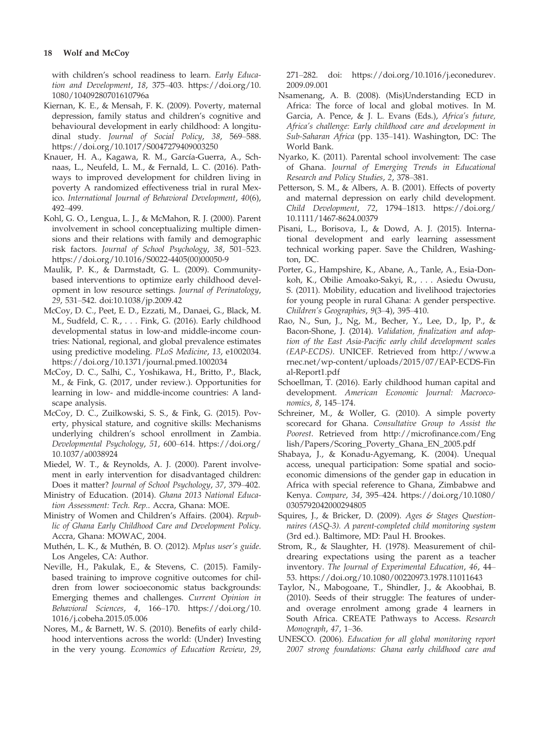with children's school readiness to learn. Early Education and Development, 18, 375–403. [https://doi.org/10.](https://doi.org/10.1080/10409280701610796a) [1080/10409280701610796a](https://doi.org/10.1080/10409280701610796a)

- Kiernan, K. E., & Mensah, F. K. (2009). Poverty, maternal depression, family status and children's cognitive and behavioural development in early childhood: A longitudinal study. Journal of Social Policy, 38, 569–588. <https://doi.org/10.1017/S0047279409003250>
- Knauer, H. A., Kagawa, R. M., García-Guerra, A., Schnaas, L., Neufeld, L. M., & Fernald, L. C. (2016). Pathways to improved development for children living in poverty A randomized effectiveness trial in rural Mexico. International Journal of Behavioral Development, 40(6), 492–499.
- Kohl, G. O., Lengua, L. J., & McMahon, R. J. (2000). Parent involvement in school conceptualizing multiple dimensions and their relations with family and demographic risk factors. Journal of School Psychology, 38, 501–523. [https://doi.org/10.1016/S0022-4405\(00\)00050-9](https://doi.org/10.1016/S0022-4405(00)00050-9)
- Maulik, P. K., & Darmstadt, G. L. (2009). Communitybased interventions to optimize early childhood development in low resource settings. Journal of Perinatology, 29, 531–542. doi[:10.1038/jp.2009.42](https://doi.org/10.1038/jp.2009.42)
- McCoy, D. C., Peet, E. D., Ezzati, M., Danaei, G., Black, M. M., Sudfeld, C. R., . . . Fink, G. (2016). Early childhood developmental status in low-and middle-income countries: National, regional, and global prevalence estimates using predictive modeling. PLoS Medicine, 13, e1002034. <https://doi.org/10.1371/journal.pmed.1002034>
- McCoy, D. C., Salhi, C., Yoshikawa, H., Britto, P., Black, M., & Fink, G. (2017, under review.). Opportunities for learning in low- and middle-income countries: A landscape analysis.
- McCoy, D. C., Zuilkowski, S. S., & Fink, G. (2015). Poverty, physical stature, and cognitive skills: Mechanisms underlying children's school enrollment in Zambia. Developmental Psychology, 51, 600–614. [https://doi.org/](https://doi.org/10.1037/a0038924) [10.1037/a0038924](https://doi.org/10.1037/a0038924)
- Miedel, W. T., & Reynolds, A. J. (2000). Parent involvement in early intervention for disadvantaged children: Does it matter? Journal of School Psychology, 37, 379–402.
- Ministry of Education. (2014). Ghana 2013 National Education Assessment: Tech. Rep.. Accra, Ghana: MOE.
- Ministry of Women and Children's Affairs. (2004). Republic of Ghana Early Childhood Care and Development Policy. Accra, Ghana: MOWAC, 2004.
- Muthén, L. K., & Muthén, B. O. (2012). Mplus user's guide. Los Angeles, CA: Author.
- Neville, H., Pakulak, E., & Stevens, C. (2015). Familybased training to improve cognitive outcomes for children from lower socioeconomic status backgrounds: Emerging themes and challenges. Current Opinion in Behavioral Sciences, 4, 166–170. [https://doi.org/10.](https://doi.org/10.1016/j.cobeha.2015.05.006) [1016/j.cobeha.2015.05.006](https://doi.org/10.1016/j.cobeha.2015.05.006)
- Nores, M., & Barnett, W. S. (2010). Benefits of early childhood interventions across the world: (Under) Investing in the very young. Economics of Education Review, 29,

271–282. doi: [https://doi.org/10.1016/j.econedurev.](https://doi.org/10.1016/j.econedurev.2009.09.001) [2009.09.001](https://doi.org/10.1016/j.econedurev.2009.09.001)

- Nsamenang, A. B. (2008). (Mis)Understanding ECD in Africa: The force of local and global motives. In M. Garcia, A. Pence, & J. L. Evans (Eds.), Africa's future, Africa's challenge: Early childhood care and development in Sub-Saharan Africa (pp. 135–141). Washington, DC: The World Bank.
- Nyarko, K. (2011). Parental school involvement: The case of Ghana. Journal of Emerging Trends in Educational Research and Policy Studies, 2, 378–381.
- Petterson, S. M., & Albers, A. B. (2001). Effects of poverty and maternal depression on early child development. Child Development, 72, 1794–1813. [https://doi.org/](https://doi.org/10.1111/1467-8624.00379) [10.1111/1467-8624.00379](https://doi.org/10.1111/1467-8624.00379)
- Pisani, L., Borisova, I., & Dowd, A. J. (2015). International development and early learning assessment technical working paper. Save the Children, Washington, DC.
- Porter, G., Hampshire, K., Abane, A., Tanle, A., Esia-Donkoh, K., Obilie Amoako-Sakyi, R., . . . Asiedu Owusu, S. (2011). Mobility, education and livelihood trajectories for young people in rural Ghana: A gender perspective. Children's Geographies, 9(3–4), 395–410.
- Rao, N., Sun, J., Ng, M., Becher, Y., Lee, D., Ip, P., & Bacon-Shone, J. (2014). Validation, finalization and adoption of the East Asia-Pacific early child development scales (EAP-ECDS). UNICEF. Retrieved from [http://www.a](http://www.arnec.net/wp-content/uploads/2015/07/EAP-ECDS-Final-Report1.pdf) [rnec.net/wp-content/uploads/2015/07/EAP-ECDS-Fin](http://www.arnec.net/wp-content/uploads/2015/07/EAP-ECDS-Final-Report1.pdf) [al-Report1.pdf](http://www.arnec.net/wp-content/uploads/2015/07/EAP-ECDS-Final-Report1.pdf)
- Schoellman, T. (2016). Early childhood human capital and development. American Economic Journal: Macroeconomics, 8, 145–174.
- Schreiner, M., & Woller, G. (2010). A simple poverty scorecard for Ghana. Consultative Group to Assist the Poorest. Retrieved from [http://microfinance.com/Eng](http://microfinance.com/English/Papers/Scoring_Poverty_Ghana_EN_2005.pdf) [lish/Papers/Scoring\\_Poverty\\_Ghana\\_EN\\_2005.pdf](http://microfinance.com/English/Papers/Scoring_Poverty_Ghana_EN_2005.pdf)
- Shabaya, J., & Konadu-Agyemang, K. (2004). Unequal access, unequal participation: Some spatial and socioeconomic dimensions of the gender gap in education in Africa with special reference to Ghana, Zimbabwe and Kenya. Compare, 34, 395–424. [https://doi.org/10.1080/](https://doi.org/10.1080/0305792042000294805) [0305792042000294805](https://doi.org/10.1080/0305792042000294805)
- Squires, J., & Bricker, D. (2009). Ages & Stages Questionnaires (ASQ-3). A parent-completed child monitoring system (3rd ed.). Baltimore, MD: Paul H. Brookes.
- Strom, R., & Slaughter, H. (1978). Measurement of childrearing expectations using the parent as a teacher inventory. The Journal of Experimental Education, 46, 44– 53.<https://doi.org/10.1080/00220973.1978.11011643>
- Taylor, N., Mabogoane, T., Shindler, J., & Akoobhai, B. (2010). Seeds of their struggle: The features of underand overage enrolment among grade 4 learners in South Africa. CREATE Pathways to Access. Research Monograph, 47, 1–36.
- UNESCO. (2006). Education for all global monitoring report 2007 strong foundations: Ghana early childhood care and